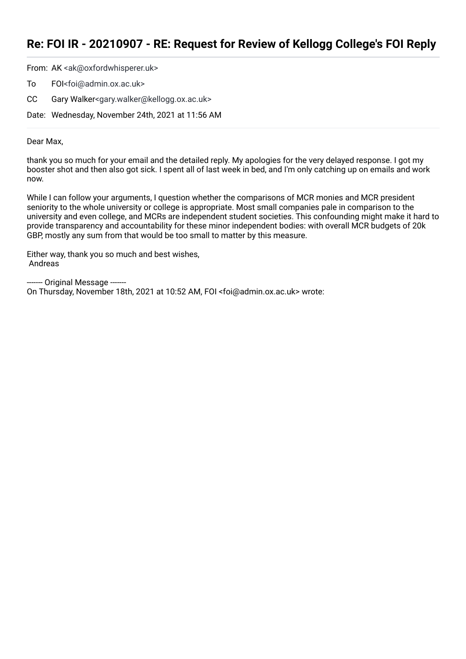From: AK <ak@oxfordwhisperer.uk>

- To FOI<foi@admin.ox.ac.uk>
- CC Gary Walker<gary.walker@kellogg.ox.ac.uk>

Date: Wednesday, November 24th, 2021 at 11:56 AM

Dear Max,

thank you so much for your email and the detailed reply. My apologies for the very delayed response. I got my booster shot and then also got sick. I spent all of last week in bed, and I'm only catching up on emails and work now.

While I can follow your arguments, I question whether the comparisons of MCR monies and MCR president seniority to the whole university or college is appropriate. Most small companies pale in comparison to the university and even college, and MCRs are independent student societies. This confounding might make it hard to provide transparency and accountability for these minor independent bodies: with overall MCR budgets of 20k GBP, mostly any sum from that would be too small to matter by this measure.

Either way, thank you so much and best wishes, Andreas

--- Original Message -------On Thursday, November 18th, 2021 at 10:52 AM, FOI <foi@admin.ox.ac.uk> wrote: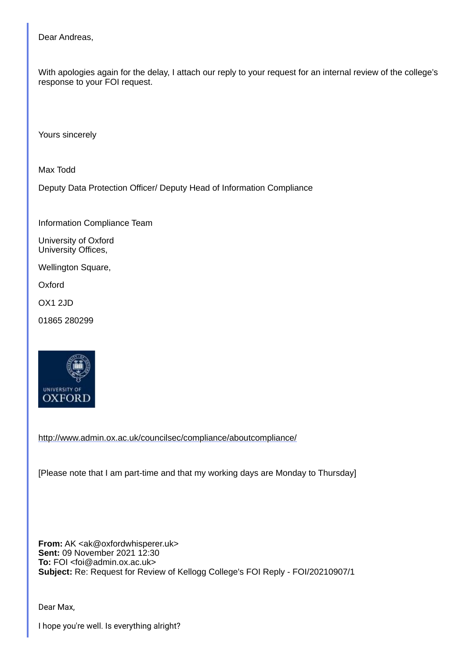Dear Andreas,

With apologies again for the delay, I attach our reply to your request for an internal review of the college's response to your FOI request.

Yours sincerely

Max Todd

Deputy Data Protection Officer/ Deputy Head of Information Compliance

Information Compliance Team

University of Oxford University Offices,

Wellington Square,

Oxford

OX1 2JD

01865 280299



<http://www.admin.ox.ac.uk/councilsec/compliance/aboutcompliance/>

[Please note that I am part-time and that my working days are Monday to Thursday]

**From:** AK <ak@oxfordwhisperer.uk> **Sent:** 09 November 2021 12:30 **To:** FOI <foi@admin.ox.ac.uk> **Subject:** Re: Request for Review of Kellogg College's FOI Reply - FOI/20210907/1

Dear Max,

I hope you're well. Is everything alright?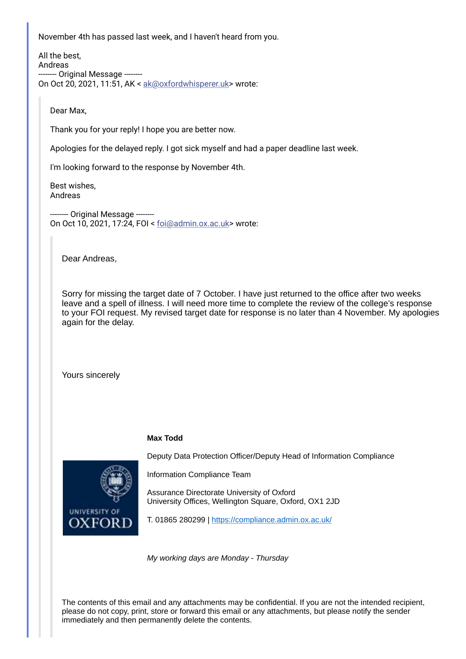November 4th has passed last week, and I haven't heard from you.

All the best, Andreas -------- Original Message -------- On Oct 20, 2021, 11:51, AK <  $ak$   $@ox$  for dwhisperer. uk > wrote:

Dear Max,

Thank you for your reply! I hope you are better now.

Apologies for the delayed reply. I got sick myself and had a paper deadline last week.

I'm looking forward to the response by November 4th.

Best wishes, Andreas

-------- Original Message -------- On Oct 10, 2021, 17:24, FOI < [foi@admin.ox.ac.uk](mailto:foi@admin.ox.ac.uk)> wrote:

Dear Andreas,

Sorry for missing the target date of 7 October. I have just returned to the office after two weeks leave and a spell of illness. I will need more time to complete the review of the college's response to your FOI request. My revised target date for response is no later than 4 November. My apologies again for the delay.

Yours sincerely

## **Max Todd**



Deputy Data Protection Officer/Deputy Head of Information Compliance

Information Compliance Team

Assurance Directorate University of Oxford University Offices, Wellington Square, Oxford, OX1 2JD

T. 01865 280299 | <https://compliance.admin.ox.ac.uk/>

*My working days are Monday - Thursday*

The contents of this email and any attachments may be confidential. If you are not the intended recipient, please do not copy, print, store or forward this email or any attachments, but please notify the sender immediately and then permanently delete the contents.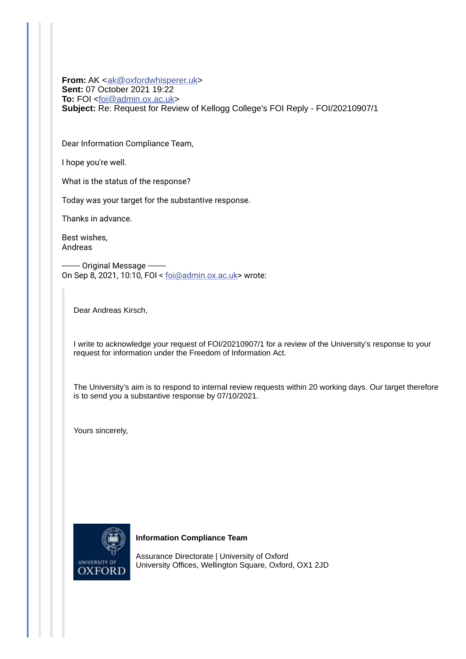**From:** AK < [ak@oxfordwhisperer.uk>](mailto:ak@oxfordwhisperer.uk) **Sent:** 07 October 2021 19:22 **To:** FOI <[foi@admin.ox.ac.uk>](mailto:foi@admin.ox.ac.uk) **Subject:** Re: Request for Review of Kellogg College's FOI Reply - FOI/20210907/1

Dear Information Compliance Team,

I hope you're well.

What is the status of the response?

Today was your target for the substantive response.

Thanks in advance.

Best wishes, Andreas

-------- Original Message -------- On Sep 8, 2021, 10:10, FOI < [foi@admin.ox.ac.uk>](mailto:foi@admin.ox.ac.uk) wrote:

Dear Andreas Kirsch,

I write to acknowledge your request of FOI/20210907/1 for a review of the University's response to your request for information under the Freedom of Information Act.

The University's aim is to respond to internal review requests within 20 working days. Our target therefore is to send you a substantive response by 07/10/2021.

Yours sincerely,



**Information Compliance Team**

Assurance Directorate | University of Oxford [U](https://www.ox.ac.uk/)niversity Offices, Wellington Square, Oxford, OX1 2JD